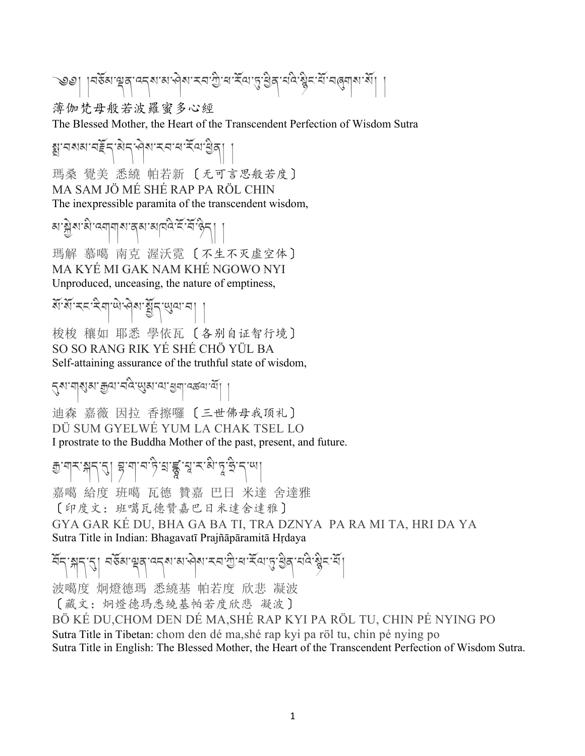$$
\text{Sov}_{\text{G}}\left[\text{argmax}_{\text{G}}\left(\text{argmax}_{\text{G}}\left(\text{argmax}_{\text{G}}\right),\text{argmax}_{\text{G}}\left(\text{argmax}_{\text{G}}\left(\text{argmax}_{\text{G}}\left(\text{argmax}_{\text{G}}\right)\right)\right)\right]
$$

薄伽梵母般若波羅蜜多心經

The Blessed Mother, the Heart of the Transcendent Perfection of Wisdom Sutra

क्कार सर्वेद को राज्य स्वयं स्वयं से बालिए । 瑪桑 覺美 悉繞 帕若新 〔无可言思般若度〕 MA SAM JÖ MÉ SHÉ RAP PA RÖL CHIN The inexpressible paramita of the transcendent wisdom,

མ་>ེས་མི་འགགས་ནམ་མཁའི་ངོ་བོ་ཉིད། །

瑪解 慕噶 南克 渥沃霓 〔不生不灭虚空体〕 MA KYÉ MI GAK NAM KHÉ NGOWO NYI Unproduced, unceasing, the nature of emptiness,

སོ་སོ་རང་རིག་ཡེ་ཤེས་Bོད་Cལ་བ། །

梭梭 穰如 耶悉 學依瓦 〔各别自证智行境〕 SO SO RANG RIK YÉ SHÉ CHÖ YÜL BA Self-attaining assurance of the truthful state of wisdom,

२४ मारु या सैया मैं पुराण करना मा

迪森 嘉薇 因拉 香擦囉 〔三世佛母我顶礼〕 DÜ SUM GYELWÉ YUM LA CHAK TSEL LO I prostrate to the Buddha Mother of the past, present, and future.

क्कला स्वान्य के बाह्य के बाह्य के संस्था के संस्था। 嘉噶 給度 班噶 瓦德 贊嘉 巴日 米達 舍達雅 〔印度文:班噶瓦德贊嘉巴日米達舍達雅〕 GYA GAR KÉ DU, BHA GA BA TI, TRA DZNYA PA RA MI TA, HRI DA YA Sutra Title in Indian: Bhagavatī Prajñāpāramitā Hṛdaya

$$
\mathcal{A} \leftarrow \mathcal{A} \left[ \mathcal{A} \right] \left[ \mathcal{A} \right] \left[ \mathcal{A} \right] \left[ \mathcal{A} \right] \left[ \mathcal{A} \right] \left[ \mathcal{A} \right] \left[ \mathcal{A} \right] \left[ \mathcal{A} \right] \left[ \mathcal{A} \right] \left[ \mathcal{A} \right] \left[ \mathcal{A} \right] \left[ \mathcal{A} \right] \left[ \mathcal{A} \right] \left[ \mathcal{A} \right] \left[ \mathcal{A} \right] \left[ \mathcal{A} \right] \left[ \mathcal{A} \right] \left[ \mathcal{A} \right] \left[ \mathcal{A} \right] \left[ \mathcal{A} \right] \left[ \mathcal{A} \right] \left[ \mathcal{A} \right] \left[ \mathcal{A} \right] \left[ \mathcal{A} \right] \left[ \mathcal{A} \right] \left[ \mathcal{A} \right] \left[ \mathcal{A} \right] \left[ \mathcal{A} \right] \left[ \mathcal{A} \right] \left[ \mathcal{A} \right] \left[ \mathcal{A} \right] \left[ \mathcal{A} \right] \left[ \mathcal{A} \right] \left[ \mathcal{A} \right] \left[ \mathcal{A} \right] \left[ \mathcal{A} \right] \left[ \mathcal{A} \right] \left[ \mathcal{A} \right] \left[ \mathcal{A} \right] \left[ \mathcal{A} \right] \left[ \mathcal{A} \right] \left[ \mathcal{A} \right] \left[ \mathcal{A} \right] \left[ \mathcal{A} \right] \left[ \mathcal{A} \right] \left[ \mathcal{A} \right] \left[ \mathcal{A} \right] \left[ \mathcal{A} \right] \left[ \mathcal{A} \right] \left[ \mathcal{A} \right] \left[ \mathcal{A} \right] \left[ \mathcal{A} \right] \left[ \mathcal{A} \right] \left[ \mathcal{A} \right] \left[ \mathcal{A} \right] \left[ \mathcal{A} \right] \left[ \mathcal{A} \right] \left[ \mathcal{A} \right] \left[ \mathcal{A} \right] \left[ \mathcal{A} \right] \left[ \mathcal{A} \right] \left[ \mathcal{A} \right] \
$$

波噶度 炯燈德瑪 悉繞基 帕若度 欣悲 凝波

〔藏文:炯燈德瑪悉繞基帕若度欣悲 凝波〕

BÖ KÉ DU,CHOM DEN DÉ MA,SHÉ RAP KYI PA RÖL TU, CHIN PÉ NYING PO Sutra Title in Tibetan: chom den dé ma,shé rap kyi pa röl tu, chin pé nying po Sutra Title in English: The Blessed Mother, the Heart of the Transcendent Perfection of Wisdom Sutra.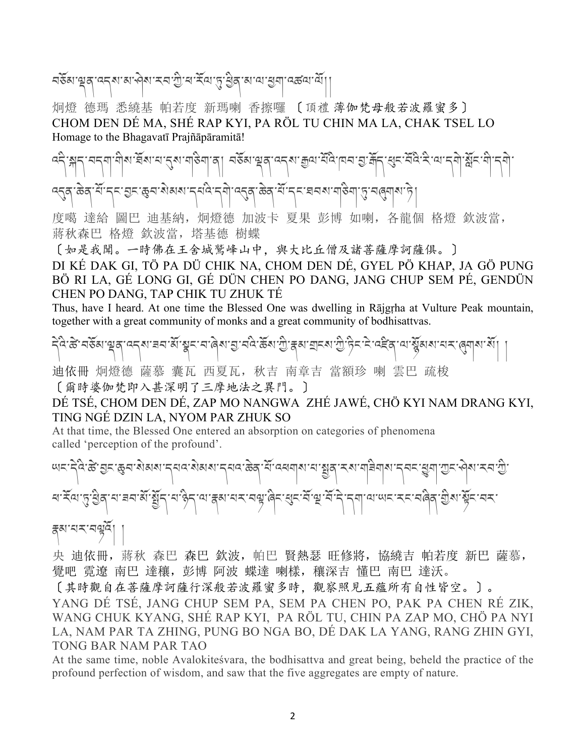## নৰ্ডঁম'শ্লুন্'ন্ন্ম'ম'ন্প্ৰম'মন'শ্ৰী'ৰ'ৰ্মি'্ম'খ্ৰীন্ম'ম'খ্ৰুম্'নৰ্জন'ৰ্মী $\vert\vert$

炯燈 德瑪 悉繞基 帕若度 新瑪喇 香擦囉 〔頂禮 薄伽梵母般若波羅蜜多〕 CHOM DEN DÉ MA, SHÉ RAP KYI, PA RÖL TU CHIN MA LA, CHAK TSEL LO Homage to the Bhagavatī Prajñāpāramitā!

مَحْمَلَ الْمَسْلِمُ وَالْمَسْلَمِينَ وَالْمَسْلَمَ وَالْمَسْلَمَ وَاللَّهُ وَاللَّهُ وَاللَّهُ وَاللَّهُ وَال उठ्ना केवार्थान् इत्युद्धाः अव्यव्यान् सद्यान् मो उठ्या केवार्थान् दावल्यामाञ्चा पुरानल्याव्यान्ने ।

度噶 達給 圖巴 迪基納,炯燈德 加波卡 夏果 彭博 如喇,各龍個 格燈 欽波當, 蔣秋森巴 格燈 欽波當,塔基德 樹蝶

〔如是我聞。一時佛在王舍城鷲峰山中,與大比丘僧及諸菩薩摩訶薩俱。〕

DI KÉ DAK GI, TÖ PA DÜ CHIK NA, CHOM DEN DÉ, GYEL PÖ KHAP, JA GÖ PUNG BÖ RI LA, GÉ LONG GI, GÉ DÜN CHEN PO DANG, JANG CHUP SEM PÉ, GENDÜN CHEN PO DANG, TAP CHIK TU ZHUK TÉ

Thus, have I heard. At one time the Blessed One was dwelling in Rājgṛha at Vulture Peak mountain, together with a great community of monks and a great community of bodhisattvas.

དེའི་ཚX་བཅོམ་)ན་འདས་ཟབ་མོ་Zང་བ་ཞེས་R་བའི་ཆོས་1ི་\མ་]ངས་1ི་ཏིང་ངེ་འཛQན་ལ་8ོམས་པར་:གས་སོ། །

迪依冊 炯燈德 薩慕 囊瓦 西夏瓦,秋吉 南章吉 當額珍 喇 雲巴 疏梭 〔爾時婆伽梵即入甚深明了三摩地法之異門。〕

### DÉ TSÉ, CHOM DEN DÉ, ZAP MO NANGWA ZHÉ JAWÉ, CHÖ KYI NAM DRANG KYI, TING NGÉ DZIN LA, NYOM PAR ZHUK SO

At that time, the Blessed One entered an absorption on categories of phenomena called 'perception of the profound'.

ཡང་དེའི་ཚX་Rང་Wབ་སེམས་དཔའ་སེམས་དཔའ་ཆེན་པོ་འཕགས་པ་Bན་རས་གཟིགས་དབང་\_ག་1ང་ཤེས་རབ་1ི་ ཕ་རོལ་5་6ིན་པ་ཟབ་མོ་Bོད་པ་ཉིད་ལ་\མ་པར་བ`་ཞིང་Tང་བོ་a་བོ་དེ་དག་ལ་ཡང་རང་བཞིན་bིས་cོང་བར་ \མ་པར་བ`འོ། །

央 迪依冊, 蔣秋 森巴 森巴 欽波, 帕巴 賢熱瑟 旺修將, 協繞吉 帕若度 新巴 薩慕, 覺吧 霓遼 南巴 達穰,彭博 阿波 蝶達 喇樣,穰深吉 懂巴 南巴 達沃。

〔其時觀自在菩薩摩訶薩行深般若波羅蜜多時,觀察照見五蘊所有自性皆空。〕。

YANG DÉ TSÉ, JANG CHUP SEM PA, SEM PA CHEN PO, PAK PA CHEN RÉ ZIK, WANG CHUK KYANG, SHÉ RAP KYI, PA RÖL TU, CHIN PA ZAP MO, CHÖ PA NYI LA, NAM PAR TA ZHING, PUNG BO NGA BO, DÉ DAK LA YANG, RANG ZHIN GYI, TONG BAR NAM PAR TAO

At the same time, noble Avalokiteśvara, the bodhisattva and great being, beheld the practice of the profound perfection of wisdom, and saw that the five aggregates are empty of nature.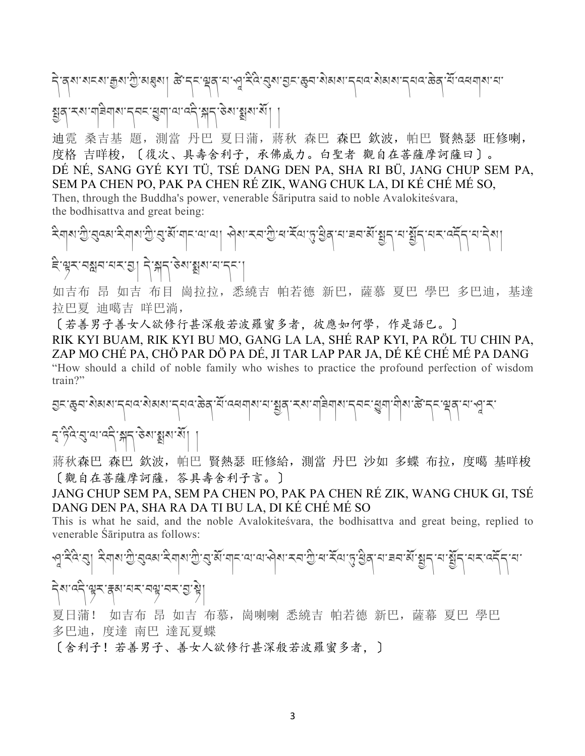# ন্বিশ মনমা ক্ৰুমাস্ট্ৰামধ্ৰম। ক্ৰীন্না শ্লুন্দ্ৰবাৰা পুৰ্নিং ব্ৰমান্তনা জ্ঞান কৰি বিশ্বাস কৰি যি বেধনামা না <u> ২</u>৯. খৰিখা ১৯৯. ইন্দ্ৰীজাৰে বুৰী স্থাপন্য প্ৰা

迪霓 桑吉基 題, 測當 丹巴 夏日蒲, 蔣秋 森巴 森巴 欽波, 帕巴 賢熱瑟 旺修喇, 度格 吉咩梭,〔復次、具壽舍利子,承佛威力。白聖者 觀自在菩薩摩訶薩曰〕。 DÉ NÉ, SANG GYÉ KYI TÜ, TSÉ DANG DEN PA, SHA RI BÜ, JANG CHUP SEM PA, SEM PA CHEN PO, PAK PA CHEN RÉ ZIK, WANG CHUK LA, DI KÉ CHÉ MÉ SO, Then, through the Buddha's power, venerable Śāriputra said to noble Avalokiteśvara, the bodhisattva and great being:

২িনাম'শ্ৰী'ব্ৰেম'২িনাম'শ্ৰী'ব্ৰ'ৰ্ম'নাম'ন্মামা । প্ৰম'মন'শ্ৰী'ৰ'ইন্ম'ন্ত'শ্ৰীৰ'ন'ৰন'ৰ্মী শ্ৰুম'ন'ৰ্মীৰ ই'ৠ়্ম'নস্লুন'নম'ন্ড়| ন্'স্লুন'উৰ'স্থাৰ'ন্দ

如吉布 昂 如吉 布目 崗拉拉, 悉繞吉 帕若德 新巴, 薩慕 夏巴 學巴 多巴迪, 基達 拉巴夏 迪噶吉 咩巴淌,

〔若善男子善女人欲修行甚深般若波羅蜜多者,彼應如何學,作是語巳。〕 RIK KYI BUAM, RIK KYI BU MO, GANG LA LA, SHÉ RAP KYI, PA RÖL TU CHIN PA, ZAP MO CHÉ PA, CHÖ PAR DÖ PA DÉ, JI TAR LAP PAR JA, DÉ KÉ CHÉ MÉ PA DANG "How should a child of noble family who wishes to practice the profound perfection of wisdom train?"

হ্যাঞ্জেন মিমমান্নৰ মিমমান্নৰ ক্টেম্বিলিমানা মুদ্ হ'ড়ব'ব্ৰ'ন'ৰ্ন' শ্লুন' উৰ্মায়ুৰা ৰাঁ|

蔣秋森巴 森巴 欽波, 帕巴 賢熱瑟 旺修給, 測當 丹巴 沙如 多蝶 布拉, 度噶 基咩梭 〔觀自在菩薩摩訶薩,答具壽舍利子言。〕

JANG CHUP SEM PA, SEM PA CHEN PO, PAK PA CHEN RÉ ZIK, WANG CHUK GI, TSÉ DANG DEN PA, SHA RA DA TI BU LA, DI KÉ CHÉ MÉ SO

This is what he said, and the noble Avalokiteśvara, the bodhisattva and great being, replied to venerable Śāriputra as follows:

২়েরে। ইনামস্ট্রার্কো ইনামস্ট্রার্স্টানান আর্থমা হনস্টার্স্টার্স্কার্স্টার্মু

### नेशावने सूर ह्रबाचर नसू नर गुन्धे

夏日蒲! 如吉布 昂 如吉 布慕, 崗喇喇 悉繞吉 帕若德 新巴, 薩幕 夏巴 學巴 多巴迪, 度達 南巴 達瓦夏蝶

[舍利子!若善男子、善女人欲修行甚深般若波羅蜜多者, ]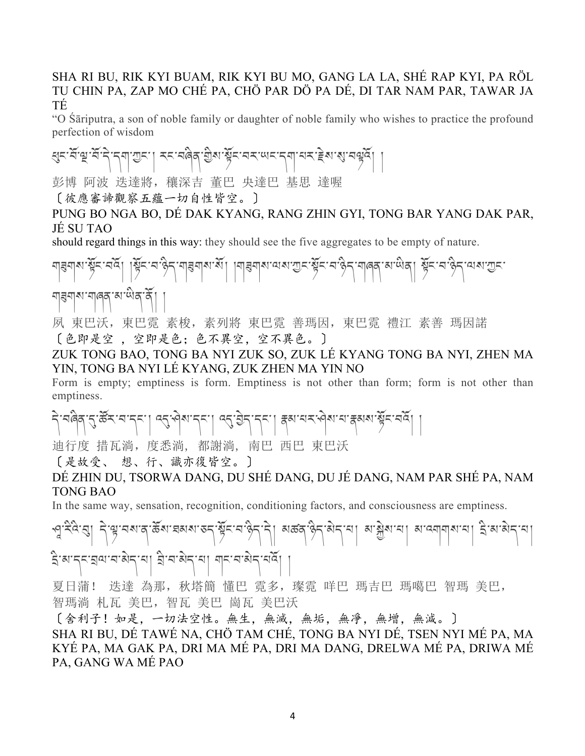#### SHA RI BU, RIK KYI BUAM, RIK KYI BU MO, GANG LA LA, SHÉ RAP KYI, PA RÖL TU CHIN PA, ZAP MO CHÉ PA, CHÖ PAR DÖ PA DÉ, DI TAR NAM PAR, TAWAR JA TÉ

"O Śāriputra, a son of noble family or daughter of noble family who wishes to practice the profound perfection of wisdom

स्रन्-सॅन्ध्र-सॅन्ने-न्नायन् । रत्न्वलेव ग्रेश-स्रूटन्वर प्रात्यन्न्द्रेश्वरात्रवर्धेन् ।

彭博 阿波 迭達將, 穰深吉 董巴 央達巴 基思 達喔

〔彼應審諦觀察五蘊一切自性皆空。〕

PUNG BO NGA BO, DÉ DAK KYANG, RANG ZHIN GYI, TONG BAR YANG DAK PAR, JÉ SU TAO

should regard things in this way: they should see the five aggregates to be empty of nature.

মাৰমাৰ মুঁহি-ঘৰ্ষ্ট| মুঁহ-ঘণ্ড্ৰী নাৰমাৰ মুঁ| মাৰমাৰ মাত্ৰ-সুঁহ-ঘণ্ড্ৰী নাৰ্থ মাল্পৰ স্থিহ-ঘণ্ড্ৰী নেৰা অহ ๚ अर्था अलब अलब अलब

夙 東巴沃, 東巴霓 素梭, 素列將 東巴霓 善瑪因, 東巴霓 禮江 素善 瑪因諾 〔色即是空 ,空即是色;色不異空,空不異色。〕

ZUK TONG BAO, TONG BA NYI ZUK SO, ZUK LÉ KYANG TONG BA NYI, ZHEN MA YIN, TONG BA NYI LÉ KYANG, ZUK ZHEN MA YIN NO

Form is empty; emptiness is form. Emptiness is not other than form; form is not other than emptiness.

ริ จติสุ รู ซิราจารุง | จรู จิจารุง | จรู ฮิรารุง | สุลายราวิจายา สุลเจา ซิราจริ | |

迪行度 措瓦淌,度悉淌, 都謝淌, 南巴 西巴 東巴沃

〔是故受、 想、行、識亦復皆空。〕

DÉ ZHIN DU, TSORWA DANG, DU SHÉ DANG, DU JÉ DANG, NAM PAR SHÉ PA, NAM TONG BAO

In the same way, sensation, recognition, conditioning factors, and consciousness are emptiness.

কু: ২৫:ৰা বি.জী.বিল্লা ব্ৰুজা মৰ্য এনে এনে এনে ১৯৯৯ চনত বিলিখিত বিলিখিত বিলিখিত বিলিখ

kི་མ་དང་lལ་བ་མེད་པ། lི་བ་མེད་པ། གང་བ་མེད་པའོ། །

夏日蒲! 迭達 為那, 秋塔簡 懂巴 霓多, 璨霓 咩巴 瑪吉巴 瑪噶巴 智瑪 美巴, 智瑪淌 札瓦 美巴,智瓦 美巴 崗瓦 美巴沃

〔舍利子!如是,一切法空性。無生,無滅,無垢,無凈,無增,無減。〕 SHA RI BU, DÉ TAWÉ NA, CHÖ TAM CHÉ, TONG BA NYI DÉ, TSEN NYI MÉ PA, MA KYÉ PA, MA GAK PA, DRI MA MÉ PA, DRI MA DANG, DRELWA MÉ PA, DRIWA MÉ PA, GANG WA MÉ PAO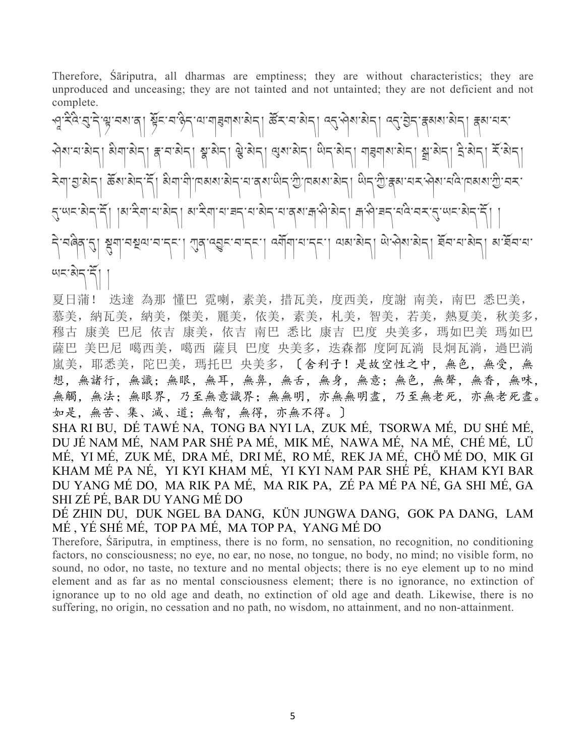Therefore, Śāriputra, all dharmas are emptiness; they are without characteristics; they are unproduced and unceasing; they are not tainted and not untainted; they are not deficient and not complete.

্দু: ২ঁ৭:ব্যু:২ঁশু:নম'ন্ | ম্ভুঁহ:ন'ষ্টুহ'়ম'নাৰুমাম'ম্মহ্ৰ| উঁহ'়ন'মম্মহ্ৰ| ৭ব্:মুমাম্মীহ্ৰ| ব্ৰুমান্মহ' ৃषेश:च:ब्रेन्। ब्रेग|बेन्। ह:च:बेन्। श्ल'बेन्। श्ले बेन्। श्लबोन्। लेन'बेन्। गहग|श्रा ब्रान्नेन। द्वे:बेन्। संखेन। َ ২বা হ্য মন্। ক্লথ মন্দ্রী খুবা মু! চিম্পান্ত স্থা নার্থ জুন ফ্রী চিম্পান্ত প্রায় ক্লে বেং প্রথ বর চিম্পান্ত |মাইন|মাঝিন| মাইন|মাৰনমাঝিন|মাৰ্মানীৰীন| ৰাণীৰনমৰিকে ব্যানাৰীন বি। เฮซัซเฮเล่ะ! พิชเฮ์ซิลเฮเล่ะ! ฮมู่ปลเล่ะ! สมรูป ต.ชุม.ชุม ฮูฮเฮเซฺย่ ฆ.ฮูฮเฮ. ཡང་མེད་དོ། །

夏日蒲! 迭達 為那 懂巴 霓喇,素美,措瓦美,度西美,度謝 南美,南巴 悉巴美, 慕美,納瓦美,納美,傑美,麗美,依美,素美,札美,智美,若美,熱夏美,秋美多, 穆古 康美 巴尼 依吉 康美, 依吉 南巴 悉比 康吉 巴度 央美多, 瑪如巴美 瑪如巴 薩巴 美巴尼 噶西美, 噶西 薩貝 巴度 央美多, 迭森都 度阿瓦淌 艮炯瓦淌, 過巴淌 嵐美,耶悉美,陀巴美,瑪托巴 央美多,〔舍利子!是故空性之中,無色,無受,無 想,無諸行,無識;無眼,無耳,無鼻,無舌,無身,無意;無色,無聲,無香,無味, 無觸,無法;無眼界,乃至無意識界;無無明,亦無無明盡,乃至無老死,亦無老死盡。 如是,無苦、集、滅、道;無智,無得,亦無不得。〕

SHA RI BU, DÉ TAWÉ NA, TONG BA NYI LA, ZUK MÉ, TSORWA MÉ, DU SHÉ MÉ, DU JÉ NAM MÉ, NAM PAR SHÉ PA MÉ, MIK MÉ, NAWA MÉ, NA MÉ, CHÉ MÉ, LÜ MÉ, YI MÉ, ZUK MÉ, DRA MÉ, DRI MÉ, RO MÉ, REK JA MÉ, CHÖ MÉ DO, MIK GI KHAM MÉ PA NÉ, YI KYI KHAM MÉ, YI KYI NAM PAR SHÉ PÉ, KHAM KYI BAR DU YANG MÉ DO, MA RIK PA MÉ, MA RIK PA, ZÉ PA MÉ PA NÉ, GA SHI MÉ, GA SHI ZÉ PÉ, BAR DU YANG MÉ DO

DÉ ZHIN DU, DUK NGEL BA DANG, KÜN JUNGWA DANG, GOK PA DANG, LAM MÉ , YÉ SHÉ MÉ, TOP PA MÉ, MA TOP PA, YANG MÉ DO

Therefore, Śāriputra, in emptiness, there is no form, no sensation, no recognition, no conditioning factors, no consciousness; no eye, no ear, no nose, no tongue, no body, no mind; no visible form, no sound, no odor, no taste, no texture and no mental objects; there is no eye element up to no mind element and as far as no mental consciousness element; there is no ignorance, no extinction of ignorance up to no old age and death, no extinction of old age and death. Likewise, there is no suffering, no origin, no cessation and no path, no wisdom, no attainment, and no non-attainment.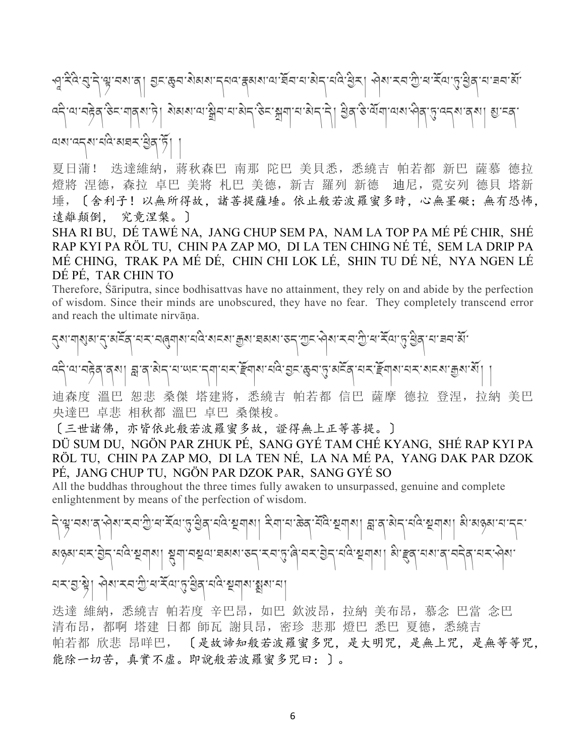'ལུ་བས་ན། བྱང་རྱབ་མེམས་དཔའ་རྲམས་ལ་རོབ་བ་མེད་པིའ་རྲིར། ਐས་རབ་ॻི་ཕ་རོལ་ད་རྲེན་བ་བབ་མོ་ འདི་ལ་བtེན་ཅིང་གནས་ཏེ། སེམས་ལ་oིབ་པ་མེད་ཅིང་uག་པ་མེད་དེ། 6ིན་ཅི་ལོག་ལས་ཤིན་5་འདས་ནས། v་ངན་ অম'ব্নৰ'ব্লিষ্ন

夏日蒲! 迭達維納,蔣秋森巴 南那 陀巴 美貝悉,悉繞吉 帕若都 新巴 薩慕 德拉 燈將 涅德, 森拉 卓巴 美將 札巴 美德, 新吉 羅列 新德 迪尼, 霓安列 德貝 塔新 埵,〔舍利子!以無所得故,諸菩提薩埵。依止般若波羅蜜多時,心無罣礙;無有恐怖, 遠離顛倒, 究竟涅槃。〕

SHA RI BU, DÉ TAWÉ NA, JANG CHUP SEM PA, NAM LA TOP PA MÉ PÉ CHIR, SHÉ RAP KYI PA RÖL TU, CHIN PA ZAP MO, DI LA TEN CHING NÉ TÉ, SEM LA DRIP PA MÉ CHING, TRAK PA MÉ DÉ, CHIN CHI LOK LÉ, SHIN TU DÉ NÉ, NYA NGEN LÉ DÉ PÉ, TAR CHIN TO

Therefore, Śāriputra, since bodhisattvas have no attainment, they rely on and abide by the perfection of wisdom. Since their minds are unobscured, they have no fear. They completely transcend error and reach the ultimate nirvāṇa.

ামমান্ত্ৰাৰামানিকামে:ক্ৰুমান্নৰাৰাজন অনাসীনাম্নাম্নৰাজ্যৰ বিশ্বজিত্বাস্থ্য কৰি ব্দীৰ্শনাইন ব্ৰাণ দ্ৰাৰাজীন বাজ্যৰ কৰা বিৰোধাৰ দুৰ্বাৰী স্থান বিৰোধাৰ কৰা বিৰোধাৰ বিৰোধাৰ বিৰোধা

迪森度 溫巴 恕悲 桑傑 塔建將,悉繞吉 帕若都 信巴 薩摩 德拉 登涅,拉納 美巴 央達巴 卓悲 相秋都 溫巴 卓巴 桑傑梭。

〔三世諸佛,亦皆依此般若波羅蜜多故,證得無上正等菩提。〕

DÜ SUM DU, NGÖN PAR ZHUK PÉ, SANG GYÉ TAM CHÉ KYANG, SHÉ RAP KYI PA RÖL TU, CHIN PA ZAP MO, DI LA TEN NÉ, LA NA MÉ PA, YANG DAK PAR DZOK PÉ, JANG CHUP TU, NGÖN PAR DZOK PAR, SANG GYÉ SO

All the buddhas throughout the three times fully awaken to unsurpassed, genuine and complete enlightenment by means of the perfection of wisdom.

নিস্কৃত্মাৰ বিভিন্ন সম্পৰ্কীয়ে স্কৃত্য কৰি স্থিতি স্থিতি স্থিতি স্থিতি স্থিতি কৰি বিভিন্ন স্থা 'নম্মুন্ম'হাৰাৰা'ডন্'ম্ন'মৃ'ৰী'নম'ট্টন্'ননি'মূনাৰা| ৰী'হ্লুব্'নৰা'ৰ ৰ ইন্ম'ন্ত্ৰ'ষ্ট্ৰৰ বন্ধ কৰাৰ স্থিত ব

迭達 維納,悉繞吉 帕若度 辛巴昂,如巴 欽波昂,拉納 美布昂,慕念 巴當 念巴 清布昂,都啊 塔建 日都 師瓦 謝貝昂,密珍 悲那 燈巴 悉巴 夏德,悉繞吉 帕若都 欣悲 昂咩巴, 〔是故諦知般若波羅蜜多咒,是大明咒,是無上咒,是無等等咒, 能除一切苦,真實不虛。即說般若波羅蜜多咒曰:〕。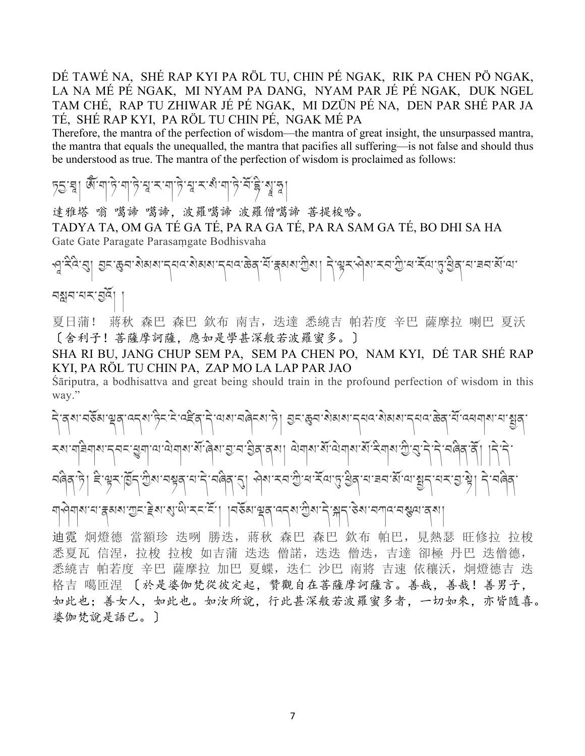DÉ TAWÉ NA, SHÉ RAP KYI PA RÖL TU, CHIN PÉ NGAK, RIK PA CHEN PÖ NGAK, LA NA MÉ PÉ NGAK, MI NYAM PA DANG, NYAM PAR JÉ PÉ NGAK, DUK NGEL TAM CHÉ, RAP TU ZHIWAR JÉ PÉ NGAK, MI DZÜN PÉ NA, DEN PAR SHÉ PAR JA TÉ, SHÉ RAP KYI, PA RÖL TU CHIN PÉ, NGAK MÉ PA

Therefore, the mantra of the perfection of wisdom—the mantra of great insight, the unsurpassed mantra, the mantra that equals the unequalled, the mantra that pacifies all suffering—is not false and should thus be understood as true. The mantra of the perfection of wisdom is proclaimed as follows:

## চ্ছা জুঁনা ট্ৰান্ট শ্ৰাম ৰাট্ৰাম স্বাৰ্থ শ্ৰী স্বাৰ্থ

達雅塔 嗡 噶諦 噶諦,波羅噶諦 波羅僧噶諦 菩提梭哈。 TADYA TA, OM GA TÉ GA TÉ, PA RA GA TÉ, PA RA SAM GA TÉ, BO DHI SA HA Gate Gate Paragate Parasaṃgate Bodhisvaha

'ଏੱ.ਖੁੱਖ'ৰੀ ਬੇਟ.প্ৰয়ঙ্গৰান্ত বিভাগৰাকীৰ কুৰ্তমন্ত্ৰীৰ। বৃষ্টিৰ প্ৰস্কৃত ব্যক্তিয়ে বিভাগৰ সূত্ৰে বিভাগৰ

নম্ভ্ৰম-খন্মই| |

夏日蒲! 蔣秋 森巴 森巴 欽布 南吉,迭達 悉繞吉 帕若度 辛巴 薩摩拉 喇巴 夏沃 〔舍利子!菩薩摩訶薩,應如是學甚深般若波羅蜜多。〕

SHA RI BU, JANG CHUP SEM PA, SEM PA CHEN PO, NAM KYI, DÉ TAR SHÉ RAP KYI, PA RÖL TU CHIN PA, ZAP MO LA LAP PAR JAO

Śāriputra, a bodhisattva and great being should train in the profound perfection of wisdom in this way."

ริ สุลา สธิมาขุสุ จรุลาธิระโรงสิสาริ ขลาสคิรสาริ| ฮูราธุสามิสเลา รุยจาสิงสมารุยจาชิกิ จักรยมคุณ ยามูสุ རས་གརིགས་དབང་རྱུག་ལ་ལེགས་སོ་ནེས་བྱ་བ་བྱིན་ནས། ལེགས་སོ་ལེགས་སོ་རིགས་ཀྱི་བུ་དེ་དེ་བེེན་ནོ། । ট। ইণ্ড্ৰুমাৰ্ট্ৰন্' শ্ৰীৰা'নস্থৰ্'ন' ন'নৰিৰ্'ন্ডা' প্ৰৰামনত্ৰী'ৰ' ইন্ডান্ত ব্ৰিন্ন' মাৰাজ্যন 'মম' মুখ্য নি' নৰিৰ্

মা�্নাম'ন'ক্ষম'স্তুন'ইম'ম্'থ্ৰ'ম্ন'ৰ্ম', | |নৰ্ষম'শ্ৰুষ্'ব্ৰম'স্ৰীম'ন্'ক্লা'ব্যান্'ৰস্থেত্ৰ'ব্ম|

迪霓 炯燈德 當額珍 迭咧 勝迭, 蔣秋 森巴 森巴 欽布 帕巴, 見熱瑟 旺修拉 拉梭 悉夏瓦 信涅, 拉梭 拉梭 如吉蒲 迭迭 僧諾, 迭迭 僧迭, 吉達 卻極 丹巴 迭僧德, 悉繞吉 帕若度 辛巴 薩摩拉 加巴 夏蝶, 迭仁 沙巴 南將 吉速 依穰沃, 炯燈德吉 迭 格吉 噶匝涅 〔於是婆伽梵從彼定起, 贊觀自在菩薩摩訶薩言。善哉, 善哉! 善男子, 如此也;善女人,如此也。如汝所說,行此甚深般若波羅蜜多者,一切如來,亦皆隨喜。 婆伽梵說是語已。〕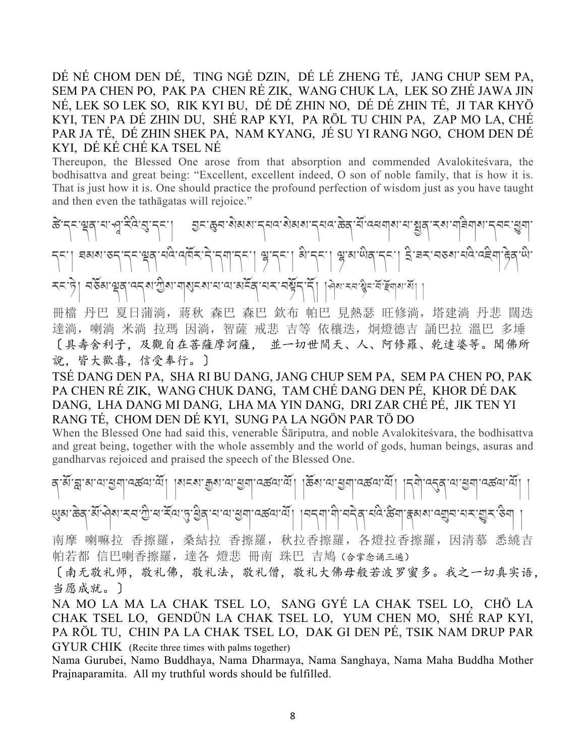DÉ NÉ CHOM DEN DÉ, TING NGÉ DZIN, DÉ LÉ ZHENG TÉ, JANG CHUP SEM PA, SEM PA CHEN PO, PAK PA CHEN RÉ ZIK, WANG CHUK LA, LEK SO ZHÉ JAWA JIN NÉ, LEK SO LEK SO, RIK KYI BU, DÉ DÉ ZHIN NO, DÉ DÉ ZHIN TÉ, JI TAR KHYÖ KYI, TEN PA DÉ ZHIN DU, SHÉ RAP KYI, PA RÖL TU CHIN PA, ZAP MO LA, CHÉ PAR JA TÉ, DÉ ZHIN SHEK PA, NAM KYANG, JÉ SU YI RANG NGO, CHOM DEN DÉ KYI, DÉ KÉ CHÉ KA TSEL NÉ

Thereupon, the Blessed One arose from that absorption and commended Avalokiteśvara, the bodhisattva and great being: "Excellent, excellent indeed, O son of noble family, that is how it is. That is just how it is. One should practice the profound perfection of wisdom just as you have taught and then even the tathāgatas will rejoice."

ङ्किन्नाथन्' भार्भ्युः स्टेन्' स्टाङ्कन् । स्टाङ्कना अध्यान् सम्बन्धान्य केलासा सम्बन्धान् अस्य स्वना सुम्ना स<br>स्वतनाथनाथा स्वयं सुन्ना | ঘམས་རད་དང་ལྲུན་པའི་འལོར་དེ་དག་དང་། ལྱ་དང་། སི་དང་། ལྱ་མ་ལིན་དང་། ఏ་བར་བऊས་པའི་འརྲིག་ ক্ষিপ্ৰাত্মৰ বেন্ধা শ্ৰীৰ বাৰ্থিনৰ বাব্যৰাজীৰ বিশেষ বিভিন্ন কৰি বিভিন্ন কৰি বিভিন্ন কৰি

冊檔 丹巴 夏日蒲淌, 蔣秋 森巴 森巴 欽布 帕巴 見熱瑟 旺修淌, 塔建淌 丹悲 闊迭 達淌, 喇淌 米淌 拉瑪 因淌, 智薩 戒悲 吉等 依穰迭, 炯燈德吉 誦巴拉 溫巴 多埵 〔具壽舍利子,及觀自在菩薩摩訶薩, 並一切世間天、人、阿修羅、乾達婆等。聞佛所 說,皆大歡喜,信受奉行。〕

TSÉ DANG DEN PA, SHA RI BU DANG, JANG CHUP SEM PA, SEM PA CHEN PO, PAK PA CHEN RÉ ZIK, WANG CHUK DANG, TAM CHÉ DANG DEN PÉ, KHOR DÉ DAK DANG, LHA DANG MI DANG, LHA MA YIN DANG, DRI ZAR CHÉ PÉ, JIK TEN YI RANG TÉ, CHOM DEN DÉ KYI, SUNG PA LA NGÖN PAR TÖ DO

When the Blessed One had said this, venerable Śāriputra, and noble Avalokiteśvara, the bodhisattva and great being, together with the whole assembly and the world of gods, human beings, asuras and gandharvas rejoiced and praised the speech of the Blessed One.

ན་མོ་w་མ་ལ་6ག་འཚལ་ལོ། །སངས་Fས་ལ་6ག་འཚལ་ལོ། །ཆོས་ལ་6ག་འཚལ་ལོ། །དགེ་འDན་ལ་6ག་འཚལ་ལོ། ། খ্যুমাক্টবার্মান্দমান্ট্রামার্মিজান্ত্রী দামান্ত্রশার্মান্কমার্মী । মন্মামীদের নারীক্ষমান্ত্রমানম্ভুমাষ্ট্রমা

南摩 喇嘛拉 香擦羅, 桑結拉 香擦羅, 秋拉香擦羅, 各燈拉香擦羅, 因清慕 悉繞吉 帕若都 信巴喇香擦羅,達各 燈悲 冊南 珠巴 吉鳩(合掌念诵三遍)

〔南无敬礼师,敬礼佛,敬礼法,敬礼僧,敬礼大佛母般若波罗蜜多。我之一切真实语, 当愿成就。〕

NA MO LA MA LA CHAK TSEL LO, SANG GYÉ LA CHAK TSEL LO, CHÖ LA CHAK TSEL LO, GENDÜN LA CHAK TSEL LO, YUM CHEN MO, SHÉ RAP KYI, PA RÖL TU, CHIN PA LA CHAK TSEL LO, DAK GI DEN PÉ, TSIK NAM DRUP PAR GYUR CHIK (Recite three times with palms together)

Nama Gurubei, Namo Buddhaya, Nama Dharmaya, Nama Sanghaya, Nama Maha Buddha Mother Prajnaparamita. All my truthful words should be fulfilled.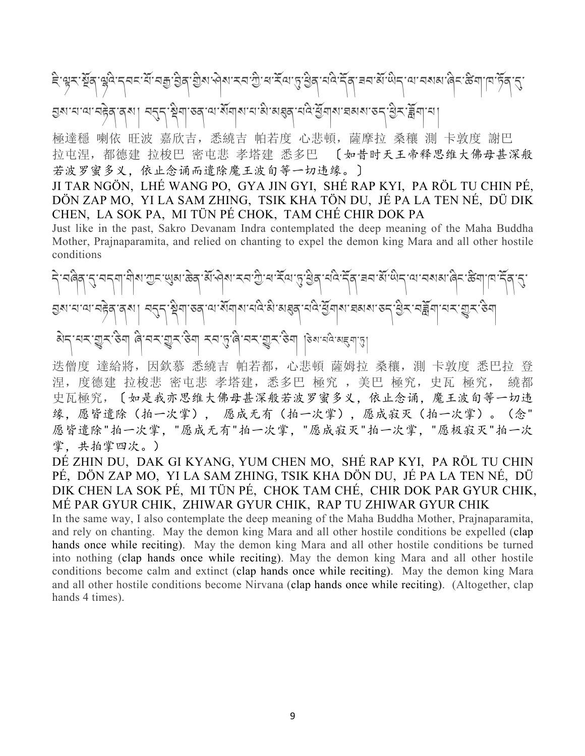दि'श्वर'र्थ्नुव'युवे:न्नर'र्से'नज्ञु'ड्रेव'र्थुरू'भेष"रच'र्थु'य'र्सेय'पु:श्रुव'र्मवे:र्मेव'चय'र्से'र्थन'या'नष्णबा'वेन'र्केव'र्तु' হ্রমানান্মানষ্টব্রাব্মা। ন্যন্দাম্বিশাত্বান্মার্মানামীকার্যবানীস্ট্রশামার্মমাত্দাম্ভিকার্মীশানা

極達穩 喇依 旺波 嘉欣吉, 悉繞吉 帕若度 心悲頓, 薩摩拉 桑穰 測 卡敦度 謝巴 拉屯涅,都德建 拉梭巴 密屯悲 孝塔建 悉多巴 〔如昔时天王帝释思维大佛母甚深般 若波罗蜜多义,依止念诵而遣除魔王波旬等一切违缘。〕

JI TAR NGÖN, LHÉ WANG PO, GYA JIN GYI, SHÉ RAP KYI, PA RÖL TU CHIN PÉ, DÖN ZAP MO, YI LA SAM ZHING, TSIK KHA TÖN DU, JÉ PA LA TEN NÉ, DÜ DIK CHEN, LA SOK PA, MI TÜN PÉ CHOK, TAM CHÉ CHIR DOK PA

Just like in the past, Sakro Devanam Indra contemplated the deep meaning of the Maha Buddha Mother, Prajnaparamita, and relied on chanting to expel the demon king Mara and all other hostile conditions

ริ รติศุรารารๆ ติมาตรายมาธิสามาคม รรณ์ สามารถ นิย์ สามารถ นิย์ ริสารณ์ เสริม สามารถ นิย์ ราชิญ เปรรณ์ 2 হ্রমানান্মানট্রবার্মা| ন্মনাস্ট্রমাাত্বান্মার্মান্মিক্টিমেদ্রবারীস্থিত্রামারেমরাত্রনাস্ত্রীনান্মান্ডুরাউনা མེད་པར་áར་ཅིག ཞི་བར་áར་ཅིག རབ་5་ཞི་བར་áར་ཅིག །ཅེས་པའི་མ2ག་3།

迭僧度 達給將,因欽慕 悉繞吉 帕若都,心悲頓 薩姆拉 桑穰,測 卡敦度 悉巴拉 登 涅,度德建 拉梭悲 密屯悲 孝塔建,悉多巴 極究 ,美巴 極究,史瓦 極究, 繞都 史瓦極究,〔如是我亦思维大佛母甚深般若波罗蜜多义,依止念诵,魔王波旬等一切违 缘,愿皆遣除(拍一次掌), 愿成无有(拍一次掌),愿成寂灭(拍一次掌)。(念" 愿皆遣除"拍一次掌, "愿成无有"拍一次掌, "愿成寂灭"拍一次掌, "愿极寂灭"拍一次 掌,共拍掌四次。)

DÉ ZHIN DU, DAK GI KYANG, YUM CHEN MO, SHÉ RAP KYI, PA RÖL TU CHIN PÉ, DÖN ZAP MO, YI LA SAM ZHING, TSIK KHA DÖN DU, JÉ PA LA TEN NÉ, DÜ DIK CHEN LA SOK PÉ, MI TÜN PÉ, CHOK TAM CHÉ, CHIR DOK PAR GYUR CHIK, MÉ PAR GYUR CHIK, ZHIWAR GYUR CHIK, RAP TU ZHIWAR GYUR CHIK

In the same way, I also contemplate the deep meaning of the Maha Buddha Mother, Prajnaparamita, and rely on chanting. May the demon king Mara and all other hostile conditions be expelled (clap hands once while reciting). May the demon king Mara and all other hostile conditions be turned into nothing (clap hands once while reciting). May the demon king Mara and all other hostile conditions become calm and extinct (clap hands once while reciting). May the demon king Mara and all other hostile conditions become Nirvana (clap hands once while reciting). (Altogether, clap hands 4 times).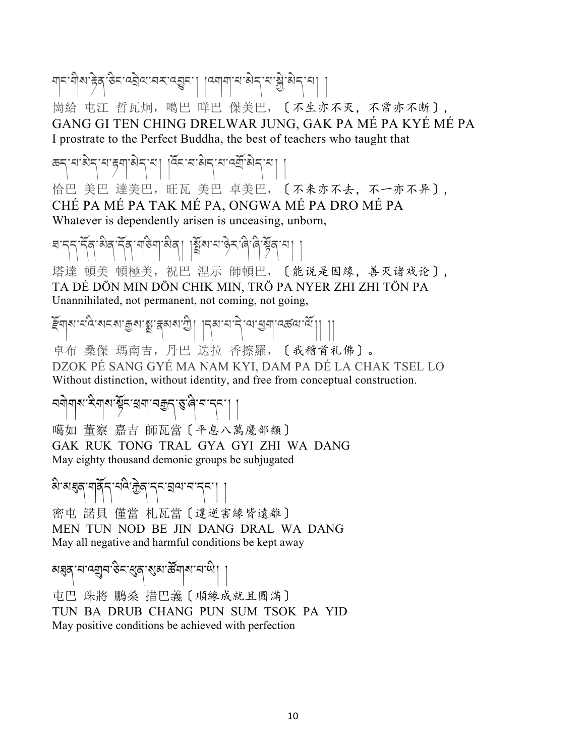चान् मेरा हेव् रुन् ब्येवा चन् ब्युन् । ।व्याया च ब्रेन् च ब्रैं ब्रेन् च।

崗給 屯江 哲瓦炯,噶巴 咩巴 傑美巴,〔不生亦不灭,不常亦不断〕, GANG GI TEN CHING DRELWAR JUNG, GAK PA MÉ PA KYÉ MÉ PA I prostrate to the Perfect Buddha, the best of teachers who taught that

க்கு என் கார்த்து பிரித்து பிரித்து அது அது பி

恰巴 美巴 達美巴,旺瓦 美巴 卓美巴,〔不来亦不去,不一亦不异〕, CHÉ PA MÉ PA TAK MÉ PA, ONGWA MÉ PA DRO MÉ PA Whatever is dependently arisen is unceasing, unborn,

इन्तन् देव बेन् देव मुख्या अर्थ । बिरुण्डा अर्थन् कुर्या

塔達 頓美 頓極美,祝巴 涅示 師頓巴,〔能说是因缘,善灭诸戏论〕, TA DÉ DÖN MIN DÖN CHIK MIN, TRÖ PA NYER ZHI ZHI TÖN PA Unannihilated, not permanent, not coming, not going,

ইনাৰ ন্তু প্ৰধাপন আৰু বিধায় আৰু বিধায়ত বিধায়ত বিধায়ত ।।।

卓布 桑傑 瑪南吉,丹巴 迭拉 香擦羅,〔我稽首礼佛〕。 DZOK PÉ SANG GYÉ MA NAM KYI, DAM PA DÉ LA CHAK TSEL LO Without distinction, without identity, and free from conceptual construction.

## বনীনাথ হলাথ ষ্টুহ শ্বনা বহুচ্ গ্রু, বি.ব.২২। ।

噶如 董察 嘉吉 師瓦當〔平息八萬魔部類〕 GAK RUK TONG TRAL GYA GYI ZHI WA DANG May eighty thousand demonic groups be subjugated

མི་མdན་གནོད་པའི་çེན་དང་lལ་བ་དང་། །

密屯 諾貝 僅當 札瓦當〔違逆害緣皆遠離〕 MEN TUN NOD BE JIN DANG DRAL WA DANG May all negative and harmful conditions be kept away

# ચક્ષત્ર માન્ય્વુન છેવ સુત્ર સુત્રા <del>ઢે</del>ંગુનામાં પો $\mid$

屯巴 珠將 鵬桑 措巴義〔順緣成就且圓滿〕 TUN BA DRUB CHANG PUN SUM TSOK PA YID May positive conditions be achieved with perfection